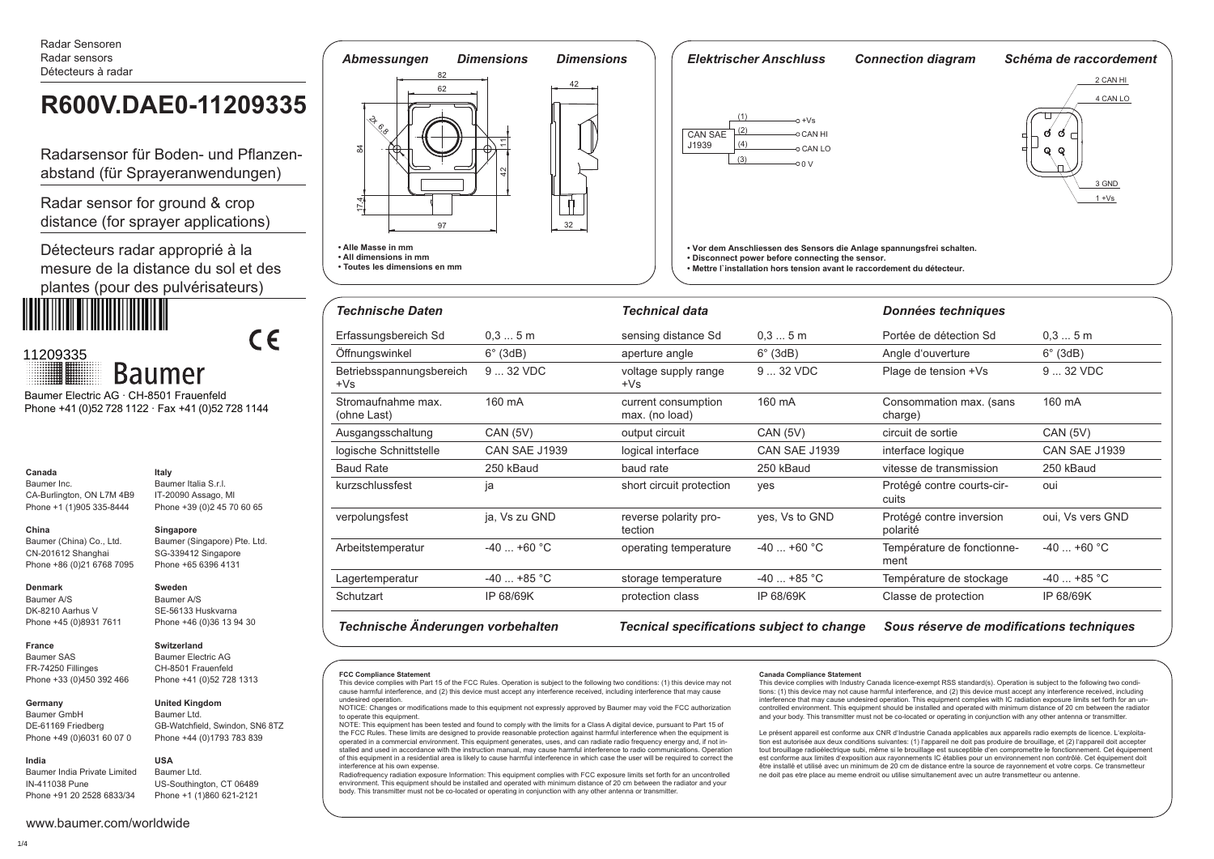Radar Sensoren Radar sensors Détecteurs à radar

# **R600V.DAE0-11209335**

Radarsensor für Boden- und Pflanzenabstand (für Sprayeranwendungen)

Radar sensor for ground & crop distance (for sprayer applications)

Détecteurs radar approprié à la mesure de la distance du sol et des plantes (pour des pulvérisateurs)

 $\epsilon$ 



**Baumer** Baumer Electric AG · CH-8501 Frauenfeld

Phone +41 (0)52 728 1122 · Fax +41 (0)52 728 1144

**Italy**

#### **Canada** Baumer Inc.

CA-Burlington, ON L7M 4B9 Phone +1 (1)905 335-8444 Baumer Italia S.r.l. IT-20090 Assago, MI Phone +39 (0)2 45 70 60 65

### **China**

Baumer (China) Co., Ltd. CN-201612 Shanghai Phone +86 (0)21 6768 7095 **Singapore** Baumer (Singapore) Pte. Ltd. SG-339412 Singapore Phone +65 6396 4131

#### **Denmark**

**France** Baumer SAS FR-74250 Fillinges

Baumer A/S DK-8210 Aarhus V Phone +45 (0)8931 7611

# **Switzerland**

**United Kingdom** Baumer Ltd.

GB-Watchfield, Swindon, SN6 8TZ Phone +44 (0)1793 783 839

US-Southington, CT 06489 Phone +1 (1)860 621-2121

Phone +33 (0)450 392 466 Baumer Electric AG CH-8501 Frauenfeld Phone +41 (0)52 728 1313

> **USA** Baumer Ltd.

**Sweden** Baumer A/S SE-56133 Huskvarna Phone +46 (0)36 13 94 30

**Germany**  Baumer GmbH DE-61169 Friedberg Phone +49 (0)6031 60 07 0

**India** Baumer India Private Limited IN-411038 Pune Phone +91 20 2528 6833/34





| <b>Technische Daten</b>           |                      | <b>Technical data</b>                 |                      | Données techniques                   |                      |
|-----------------------------------|----------------------|---------------------------------------|----------------------|--------------------------------------|----------------------|
| Erfassungsbereich Sd              | 0.35m                | sensing distance Sd                   | 0.35m                | Portée de détection Sd               | 0.35m                |
| Öffnungswinkel                    | $6^\circ$ (3dB)      | aperture angle                        | $6^\circ$ (3dB)      | Angle d'ouverture                    | $6^\circ$ (3dB)      |
| Betriebsspannungsbereich<br>$+Vs$ | 9  32 VDC            | voltage supply range<br>$+Vs$         | 9  32 VDC            | Plage de tension +Vs                 | 9  32 VDC            |
| Stromaufnahme max.<br>(ohne Last) | 160 mA               | current consumption<br>max. (no load) | 160 mA               | Consommation max. (sans<br>charge)   | 160 mA               |
| Ausgangsschaltung                 | <b>CAN (5V)</b>      | output circuit                        | <b>CAN (5V)</b>      | circuit de sortie                    | <b>CAN (5V)</b>      |
| logische Schnittstelle            | <b>CAN SAE J1939</b> | logical interface                     | <b>CAN SAE J1939</b> | interface logique                    | <b>CAN SAE J1939</b> |
| <b>Baud Rate</b>                  | 250 kBaud            | baud rate                             | 250 kBaud            | vitesse de transmission              | 250 kBaud            |
| kurzschlussfest                   | ia                   | short circuit protection              | yes                  | Protégé contre courts-cir-<br>cuits  | oui                  |
| verpolungsfest                    | ja, Vs zu GND        | reverse polarity pro-<br>tection      | yes, Vs to GND       | Protégé contre inversion<br>polarité | oui, Vs vers GND     |
| Arbeitstemperatur                 | $-40+60$ °C          | operating temperature                 | $-40+60$ °C          | Température de fonctionne-<br>ment   | $-40+60$ °C          |
| Lagertemperatur                   | $-40$ +85 °C         | storage temperature                   | $-40+85$ °C          | Température de stockage              | $-40$ +85 °C         |
| Schutzart                         | IP 68/69K            | protection class                      | IP 68/69K            | Classe de protection                 | IP 68/69K            |

Technische Änderungen vorbehalten Tecnical specifications subject to change Sous réserve de modifications techniques

#### **FCC Compliance Statement**

**• All dimensions in mm • Toutes les dimensions en mm**

This device complies with Part 15 of the FCC Rules. Operation is subject to the following two conditions: (1) this device may not cause harmful interference, and (2) this device must accept any interference received, including interference that may cause undesired operation.

NOTICE: Changes or modifications made to this equipment not expressly approved by Baumer may void the FCC authorization to operate this equipment. NOTE: This equipment has been tested and found to comply with the limits for a Class A digital device, pursuant to Part 15 of

the FCC Rules. These limits are designed to provide reasonable protection against harmful interference when the equipment is operated in a commercial environment. This equipment generates, uses, and can radiate radio frequency energy and, if not installed and used in accordance with the instruction manual, may cause harmful interference to radio communications. Operation of this equipment in a residential area is likely to cause harmful interference in which case the user will be required to correct the interference at his own expense.

Radiofrequency radiation exposure Information: This equipment complies with FCC exposure limits set forth for an uncontrolled environment. This equipment should be installed and operated with minimum distance of 20 cm between the radiator and your body. This transmitter must not be co-located or operating in conjunction with any other antenna or transmitter

#### **Canada Compliance Statement**

This device complies with Industry Canada licence-exempt RSS standard(s). Operation is subject to the following two conditions: (1) this device may not cause harmful interference, and (2) this device must accept any interference received, including interference that may cause undesired operation. This equipment complies with IC radiation exposure limits set forth for an uncontrolled environment. This equipment should be installed and operated with minimum distance of 20 cm between the radiator and your body. This transmitter must not be co-located or operating in conjunction with any other antenna or transmitter

Le présent appareil est conforme aux CNR d'Industrie Canada applicables aux appareils radio exempts de licence. L'exploitation est autorisée aux deux conditions suivantes: (1) l'appareil ne doit pas produire de brouillage, et (2) l'appareil doit accepter tout brouillage radioélectrique subi, même si le brouillage est susceptible d'en compromettre le fonctionnement. Cet équipement est conforme aux limites d'exposition aux rayonnements IC établies pour un environnement non contrôlé. Cet équipement doit être installé et utilisé avec un minimum de 20 cm de distance entre la source de rayonnement et votre corps. Ce transmetteur ne doit pas etre place au meme endroit ou utilise simultanement avec un autre transmetteur ou antenne.

## www.baumer.com/worldwide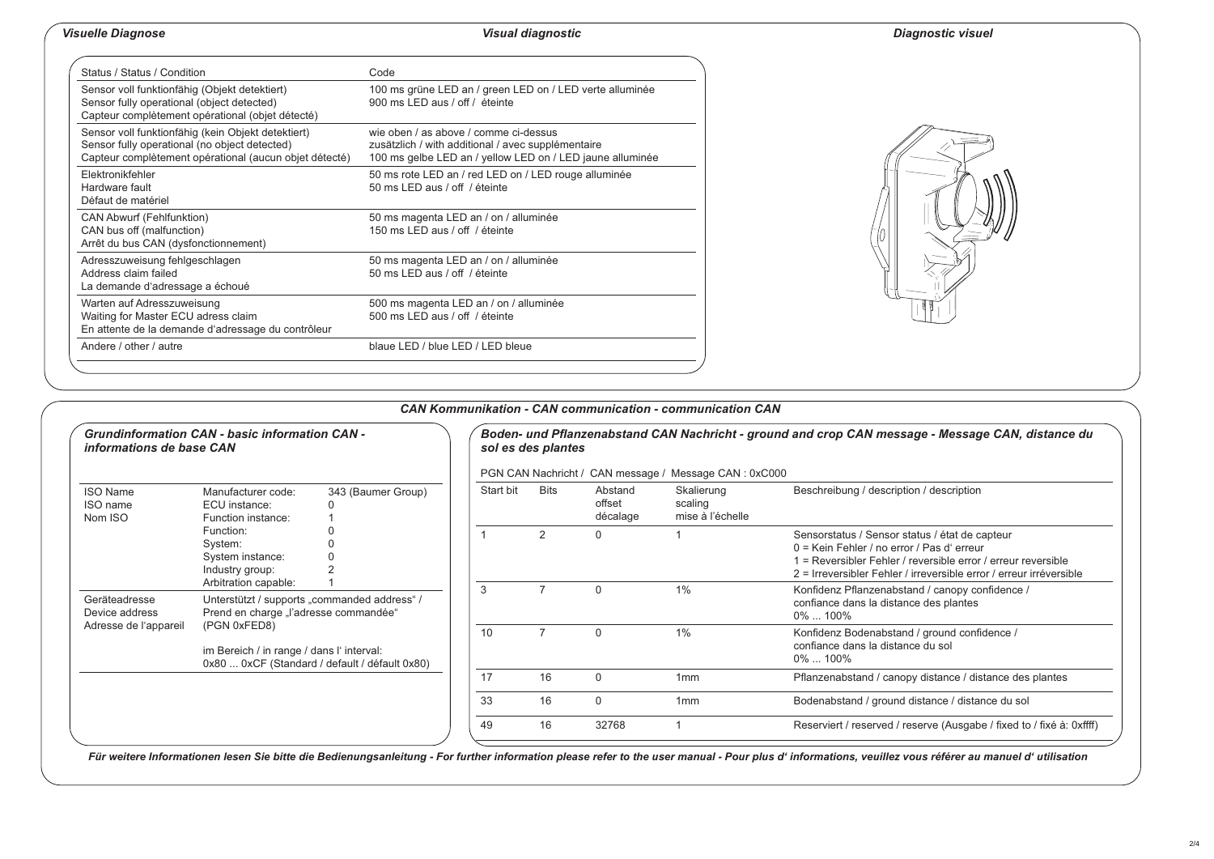# *Visuelle Diagnose Visual diagnostic Diagnostic visuel*

| Status / Status / Condition                                                                                                                                   | Code                                                                                                                                                     |  |  |  |  |  |  |
|---------------------------------------------------------------------------------------------------------------------------------------------------------------|----------------------------------------------------------------------------------------------------------------------------------------------------------|--|--|--|--|--|--|
| Sensor voll funktionfähig (Objekt detektiert)<br>Sensor fully operational (object detected)<br>Capteur complètement opérational (objet détecté)               | 100 ms grüne LED an / green LED on / LED verte alluminée<br>900 ms LED aus / off / éteinte                                                               |  |  |  |  |  |  |
| Sensor voll funktionfähig (kein Objekt detektiert)<br>Sensor fully operational (no object detected)<br>Capteur complètement opérational (aucun objet détecté) | wie oben / as above / comme ci-dessus<br>zusätzlich / with additional / avec supplémentaire<br>100 ms gelbe LED an / yellow LED on / LED jaune alluminée |  |  |  |  |  |  |
| Flektronikfehler<br>Hardware fault<br>Défaut de matériel                                                                                                      | 50 ms rote LED an / red LED on / LED rouge alluminée<br>50 ms LED aus / off / éteinte                                                                    |  |  |  |  |  |  |
| <b>CAN Abwurf (Fehlfunktion)</b><br>CAN bus off (malfunction)<br>Arrêt du bus CAN (dysfonctionnement)                                                         | 50 ms magenta LED an / on / alluminée<br>150 ms LED aus / off / éteinte                                                                                  |  |  |  |  |  |  |
| Adresszuweisung fehlgeschlagen<br>Address claim failed<br>La demande d'adressage a échoué                                                                     | 50 ms magenta LED an / on / alluminée<br>50 ms LED aus / off / éteinte                                                                                   |  |  |  |  |  |  |
| Warten auf Adresszuweisung<br>Waiting for Master ECU adress claim<br>En attente de la demande d'adressage du contrôleur                                       | 500 ms magenta LED an / on / alluminée<br>500 ms LED aus / off / éteinte                                                                                 |  |  |  |  |  |  |
| Andere / other / autre                                                                                                                                        | blaue LED / blue LED / LED bleue                                                                                                                         |  |  |  |  |  |  |



| <b>Grundinformation CAN - basic information CAN -</b><br>informations de base CAN |                                                                                                                                                                                                                             |                    | Boden- und Pflanzenabstand CAN Nachricht - ground and crop CAN message - Message CAN, distance du<br>sol es des plantes |      |                               |                                           |                                                                                                                                                                                                                                        |  |  |
|-----------------------------------------------------------------------------------|-----------------------------------------------------------------------------------------------------------------------------------------------------------------------------------------------------------------------------|--------------------|-------------------------------------------------------------------------------------------------------------------------|------|-------------------------------|-------------------------------------------|----------------------------------------------------------------------------------------------------------------------------------------------------------------------------------------------------------------------------------------|--|--|
|                                                                                   |                                                                                                                                                                                                                             |                    | PGN CAN Nachricht / CAN message / Message CAN : 0xC000                                                                  |      |                               |                                           |                                                                                                                                                                                                                                        |  |  |
| <b>ISO Name</b><br>ISO name<br>Nom ISO                                            | Manufacturer code:<br>ECU instance:<br>Function instance:                                                                                                                                                                   | 343 (Baumer Group) | Start bit                                                                                                               | Bits | Abstand<br>offset<br>décalage | Skalierung<br>scaling<br>mise à l'échelle | Beschreibung / description / description                                                                                                                                                                                               |  |  |
|                                                                                   | Function:<br>System:<br>System instance:<br>Industry group:                                                                                                                                                                 |                    |                                                                                                                         | 2    | 0                             |                                           | Sensorstatus / Sensor status / état de capteur<br>0 = Kein Fehler / no error / Pas d' erreur<br>Express Persibler Fehler / reversible error / erreur reversible<br>2 = Irreversibler Fehler / irreversible error / erreur irréversible |  |  |
| Geräteadresse<br>Device address<br>Adresse de l'appareil                          | Arbitration capable:<br>Unterstützt / supports "commanded address" /<br>Prend en charge "l'adresse commandée"<br>(PGN 0xFED8)<br>im Bereich / in range / dans l'interval:<br>0x80  0xCF (Standard / default / défault 0x80) |                    | 3                                                                                                                       |      | 0                             | 1%                                        | Konfidenz Pflanzenabstand / canopy confidence /<br>confiance dans la distance des plantes<br>0%  100%                                                                                                                                  |  |  |
|                                                                                   |                                                                                                                                                                                                                             |                    | 10                                                                                                                      |      | 0                             | 1%                                        | Konfidenz Bodenabstand / ground confidence /<br>confiance dans la distance du sol<br>$0\%$ 100%                                                                                                                                        |  |  |
|                                                                                   |                                                                                                                                                                                                                             |                    | 17                                                                                                                      | 16   | $\Omega$                      | 1mm                                       | Pflanzenabstand / canopy distance / distance des plantes                                                                                                                                                                               |  |  |
|                                                                                   |                                                                                                                                                                                                                             |                    | 33                                                                                                                      | 16   | $\Omega$                      | 1mm                                       | Bodenabstand / ground distance / distance du sol                                                                                                                                                                                       |  |  |
|                                                                                   |                                                                                                                                                                                                                             |                    | 49                                                                                                                      | 16   | 32768                         |                                           | Reserviert / reserved / reserve (Ausgabe / fixed to / fixé à: 0xffff)                                                                                                                                                                  |  |  |

*CAN Kommunikation - CAN communication - communication CAN*

Für weitere Informationen lesen Sie bitte die Bedienungsanleitung - For further information please refer to the user manual - Pour plus d' informations, veuillez vous référer au manuel d' utilisation

#### 2/4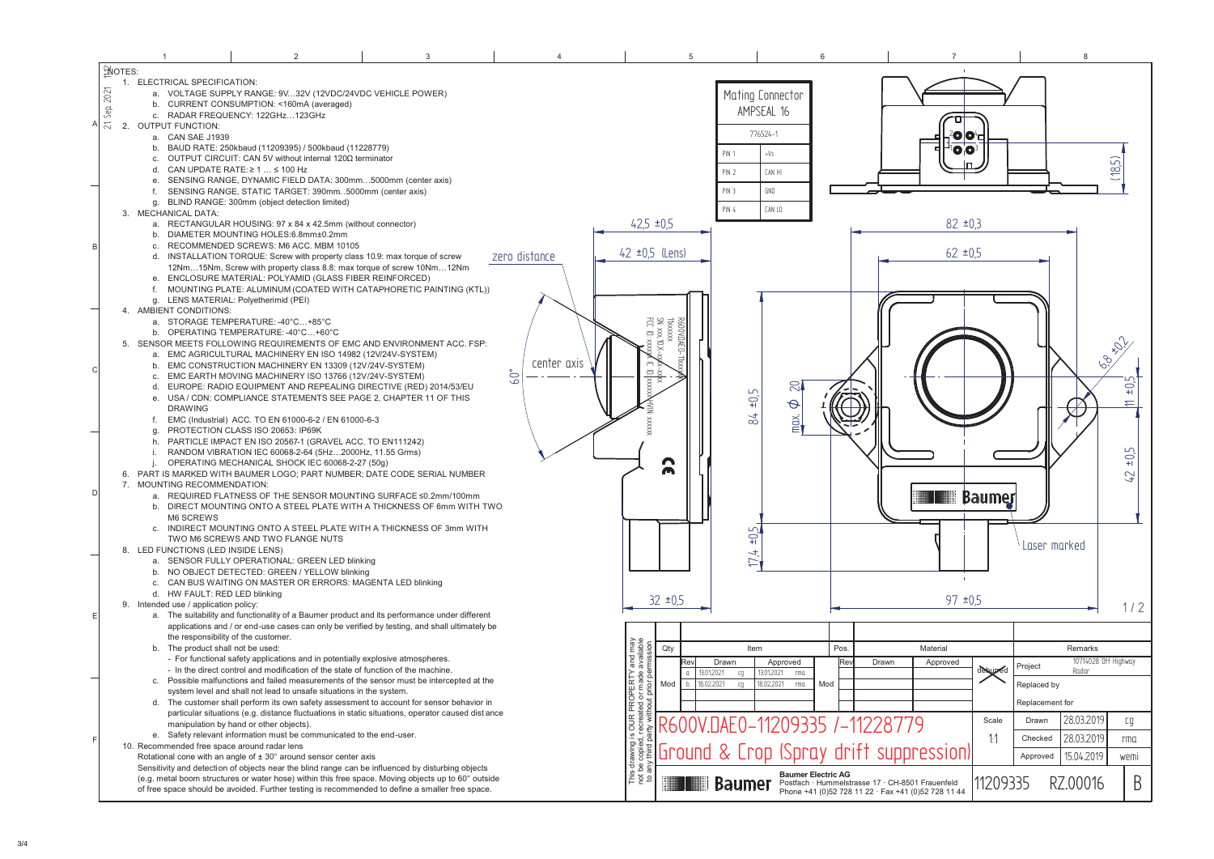|                | $\overline{1}$                               | $\mathcal{D}$                                                                                                  | $\mathbf{3}$ |               | 5                                                                                                                                                                                                                                                                                                                                                                                                                                                                                                                   |                                                                                      | $\overline{7}$                                      |                   | 8                      |           |
|----------------|----------------------------------------------|----------------------------------------------------------------------------------------------------------------|--------------|---------------|---------------------------------------------------------------------------------------------------------------------------------------------------------------------------------------------------------------------------------------------------------------------------------------------------------------------------------------------------------------------------------------------------------------------------------------------------------------------------------------------------------------------|--------------------------------------------------------------------------------------|-----------------------------------------------------|-------------------|------------------------|-----------|
| SNOTES:        |                                              |                                                                                                                |              |               |                                                                                                                                                                                                                                                                                                                                                                                                                                                                                                                     |                                                                                      |                                                     |                   |                        |           |
|                | 1. ELECTRICAL SPECIFICATION:                 |                                                                                                                |              |               |                                                                                                                                                                                                                                                                                                                                                                                                                                                                                                                     |                                                                                      |                                                     |                   |                        |           |
| 2021           |                                              | a. VOLTAGE SUPPLY RANGE: 9V32V (12VDC/24VDC VEHICLE POWER)                                                     |              |               |                                                                                                                                                                                                                                                                                                                                                                                                                                                                                                                     | Mating Connector                                                                     |                                                     |                   |                        |           |
|                |                                              | b. CURRENT CONSUMPTION: <160mA (averaged)                                                                      |              |               |                                                                                                                                                                                                                                                                                                                                                                                                                                                                                                                     |                                                                                      |                                                     |                   |                        |           |
| Sep.           |                                              | c. RADAR FREQUENCY: 122GHz123GHz                                                                               |              |               |                                                                                                                                                                                                                                                                                                                                                                                                                                                                                                                     | AMPSEAL 16                                                                           |                                                     |                   |                        |           |
| $\approx$<br>A | 2. OUTPUT FUNCTION:                          |                                                                                                                |              |               |                                                                                                                                                                                                                                                                                                                                                                                                                                                                                                                     |                                                                                      |                                                     |                   |                        |           |
|                | a. CAN SAE J1939                             |                                                                                                                |              |               |                                                                                                                                                                                                                                                                                                                                                                                                                                                                                                                     | 776524-1                                                                             |                                                     | 00                |                        |           |
|                |                                              | b. BAUD RATE: 250kbaud (11209395) / 500kbaud (11228779)                                                        |              |               |                                                                                                                                                                                                                                                                                                                                                                                                                                                                                                                     | PIN 1<br>$+\sqrt{S}$                                                                 |                                                     | 00                |                        |           |
|                |                                              | c. OUTPUT CIRCUIT: CAN 5V without internal 120Ω terminator                                                     |              |               |                                                                                                                                                                                                                                                                                                                                                                                                                                                                                                                     |                                                                                      |                                                     |                   |                        |           |
|                |                                              | d. CAN UPDATE RATE: $\geq 1$ $\leq 100$ Hz                                                                     |              |               |                                                                                                                                                                                                                                                                                                                                                                                                                                                                                                                     | PIN <sub>2</sub><br><b>CAN HI</b>                                                    |                                                     |                   | (185)                  |           |
|                | $e_{1}$                                      | SENSING RANGE, DYNAMIC FIELD DATA: 300mm5000mm (center axis)                                                   |              |               |                                                                                                                                                                                                                                                                                                                                                                                                                                                                                                                     |                                                                                      |                                                     |                   |                        |           |
|                |                                              | SENSING RANGE, STATIC TARGET: 390mm5000mm (center axis)                                                        |              |               |                                                                                                                                                                                                                                                                                                                                                                                                                                                                                                                     | PIN 3<br>GND                                                                         |                                                     |                   |                        |           |
|                |                                              | g. BLIND RANGE: 300mm (object detection limited)                                                               |              |               |                                                                                                                                                                                                                                                                                                                                                                                                                                                                                                                     | PIN 4<br>CAN LO                                                                      |                                                     |                   |                        |           |
|                | 3. MECHANICAL DATA:                          |                                                                                                                |              |               |                                                                                                                                                                                                                                                                                                                                                                                                                                                                                                                     |                                                                                      |                                                     |                   |                        |           |
|                |                                              | a. RECTANGULAR HOUSING: 97 x 84 x 42.5mm (without connector)                                                   |              |               | $42.5 \pm 0.5$                                                                                                                                                                                                                                                                                                                                                                                                                                                                                                      |                                                                                      |                                                     | $82 \pm 0.3$      |                        |           |
|                |                                              | b. DIAMETER MOUNTING HOLES:6.8mm±0.2mm                                                                         |              |               |                                                                                                                                                                                                                                                                                                                                                                                                                                                                                                                     |                                                                                      |                                                     |                   |                        |           |
| B              |                                              | c. RECOMMENDED SCREWS: M6 ACC. MBM 10105                                                                       |              |               | $42 \pm 0.5$ (Lens)                                                                                                                                                                                                                                                                                                                                                                                                                                                                                                 |                                                                                      |                                                     | $62 \pm 0.5$      |                        |           |
|                |                                              | d. INSTALLATION TORQUE: Screw with property class 10.9: max torque of screw                                    |              | zero distance |                                                                                                                                                                                                                                                                                                                                                                                                                                                                                                                     |                                                                                      |                                                     |                   |                        |           |
|                |                                              | 12Nm15Nm, Screw with property class 8.8: max torque of screw 10Nm12Nm                                          |              |               |                                                                                                                                                                                                                                                                                                                                                                                                                                                                                                                     |                                                                                      |                                                     |                   |                        |           |
|                |                                              | e. ENCLOSURE MATERIAL: POLYAMID (GLASS FIBER REINFORCED)                                                       |              |               |                                                                                                                                                                                                                                                                                                                                                                                                                                                                                                                     |                                                                                      |                                                     |                   |                        |           |
|                |                                              | f. MOUNTING PLATE: ALUMINUM (COATED WITH CATAPHORETIC PAINTING (KTL))<br>g. LENS MATERIAL: Polyetherimid (PEI) |              |               |                                                                                                                                                                                                                                                                                                                                                                                                                                                                                                                     |                                                                                      |                                                     |                   |                        |           |
|                | 4. AMBIENT CONDITIONS:                       |                                                                                                                |              |               |                                                                                                                                                                                                                                                                                                                                                                                                                                                                                                                     |                                                                                      |                                                     |                   |                        |           |
|                |                                              | a. STORAGE TEMPERATURE: -40°C+85°C                                                                             |              |               |                                                                                                                                                                                                                                                                                                                                                                                                                                                                                                                     |                                                                                      |                                                     |                   |                        |           |
|                |                                              | b. OPERATING TEMPERATURE: -40°C+60°C                                                                           |              |               | $\begin{array}{l} {\bf \small 1} \\ {\bf \small 2} \\ {\bf \small 3} \\ {\bf \small 3} \\ {\bf \small 4} \\ {\bf \small 5} \\ {\bf \small 6} \\ {\bf \small 7} \\ {\bf \small 8} \\ {\bf \small 8} \\ {\bf \small 9} \\ {\bf \small 1} \\ {\bf \small 1} \\ {\bf \small 1} \\ {\bf \small 1} \\ {\bf \small 2} \\ {\bf \small 3} \\ {\bf \small 4} \\ {\bf \small 5} \\ {\bf \small 6} \\ {\bf \small 7} \\ {\bf \small 9} \\ {\bf \small 9} \\ {\bf \small 1} \\ {\bf \small 1} \\ {\bf \small 2} \\ {\bf \small $ |                                                                                      |                                                     |                   |                        |           |
|                |                                              | 5. SENSOR MEETS FOLLOWING REQUIREMENTS OF EMC AND ENVIRONMENT ACC. FSP:                                        |              |               | ć                                                                                                                                                                                                                                                                                                                                                                                                                                                                                                                   |                                                                                      |                                                     |                   |                        |           |
|                |                                              | a. EMC AGRICULTURAL MACHINERY EN ISO 14982 (12V/24V-SYSTEM)                                                    |              |               |                                                                                                                                                                                                                                                                                                                                                                                                                                                                                                                     |                                                                                      |                                                     |                   | $\hat{\mathscr{D}}_i$  |           |
|                |                                              | b. EMC CONSTRUCTION MACHINERY EN 13309 (12V/24V-SYSTEM)                                                        |              | center axis   |                                                                                                                                                                                                                                                                                                                                                                                                                                                                                                                     |                                                                                      |                                                     |                   | 62                     |           |
| <sub>c</sub>   |                                              | c. EMC EARTH MOVING MACHINERY ISO 13766 (12V/24V-SYSTEM)                                                       |              | $60^\circ$    |                                                                                                                                                                                                                                                                                                                                                                                                                                                                                                                     |                                                                                      |                                                     |                   |                        |           |
|                |                                              | d. EUROPE: RADIO EQUIPMENT AND REPEALING DIRECTIVE (RED) 2014/53/EU                                            |              |               |                                                                                                                                                                                                                                                                                                                                                                                                                                                                                                                     | $\mathbb{S}$                                                                         |                                                     |                   |                        | $+0.5$    |
|                |                                              | e. USA / CDN: COMPLIANCE STATEMENTS SEE PAGE 2, CHAPTER 11 OF THIS                                             |              |               |                                                                                                                                                                                                                                                                                                                                                                                                                                                                                                                     | $\pm 0.5$                                                                            |                                                     |                   |                        |           |
|                | <b>DRAWING</b>                               |                                                                                                                |              |               |                                                                                                                                                                                                                                                                                                                                                                                                                                                                                                                     | $\phi$                                                                               |                                                     |                   |                        |           |
|                | f.                                           | EMC (Industrial) ACC. TO EN 61000-6-2 / EN 61000-6-3                                                           |              |               |                                                                                                                                                                                                                                                                                                                                                                                                                                                                                                                     | $\approx$<br>$\overline{\text{max}}$ .                                               |                                                     |                   |                        |           |
|                |                                              | PROTECTION CLASS ISO 20653: IP69K                                                                              |              |               |                                                                                                                                                                                                                                                                                                                                                                                                                                                                                                                     |                                                                                      |                                                     |                   |                        |           |
|                | h.                                           | PARTICLE IMPACT EN ISO 20567-1 (GRAVEL ACC. TO EN111242)                                                       |              |               |                                                                                                                                                                                                                                                                                                                                                                                                                                                                                                                     |                                                                                      |                                                     |                   |                        |           |
|                |                                              | RANDOM VIBRATION IEC 60068-2-64 (5Hz2000Hz, 11.55 Grms)                                                        |              |               |                                                                                                                                                                                                                                                                                                                                                                                                                                                                                                                     |                                                                                      |                                                     |                   |                        | $\pm 0.5$ |
|                |                                              | OPERATING MECHANICAL SHOCK IEC 60068-2-27 (50g)                                                                |              |               | <u>ລ</u>                                                                                                                                                                                                                                                                                                                                                                                                                                                                                                            |                                                                                      |                                                     |                   |                        |           |
|                |                                              | 6. PART IS MARKED WITH BAUMER LOGO; PART NUMBER; DATE CODE SERIAL NUMBER                                       |              |               |                                                                                                                                                                                                                                                                                                                                                                                                                                                                                                                     |                                                                                      |                                                     |                   |                        | 42        |
| D              | 7. MOUNTING RECOMMENDATION:                  |                                                                                                                |              |               |                                                                                                                                                                                                                                                                                                                                                                                                                                                                                                                     |                                                                                      |                                                     |                   |                        |           |
|                |                                              | a. REQUIRED FLATNESS OF THE SENSOR MOUNTING SURFACE ≤0.2mm/100mm                                               |              |               |                                                                                                                                                                                                                                                                                                                                                                                                                                                                                                                     |                                                                                      |                                                     | <b>THE Baumer</b> |                        |           |
|                |                                              | b. DIRECT MOUNTING ONTO A STEEL PLATE WITH A THICKNESS OF 6mm WITH TWO                                         |              |               |                                                                                                                                                                                                                                                                                                                                                                                                                                                                                                                     |                                                                                      |                                                     |                   |                        |           |
|                | M6 SCREWS                                    |                                                                                                                |              |               |                                                                                                                                                                                                                                                                                                                                                                                                                                                                                                                     |                                                                                      |                                                     |                   |                        |           |
|                |                                              | c. INDIRECT MOUNTING ONTO A STEEL PLATE WITH A THICKNESS OF 3mm WITH                                           |              |               |                                                                                                                                                                                                                                                                                                                                                                                                                                                                                                                     | $-105$                                                                               |                                                     |                   |                        |           |
|                |                                              | TWO M6 SCREWS AND TWO FLANGE NUTS                                                                              |              |               |                                                                                                                                                                                                                                                                                                                                                                                                                                                                                                                     |                                                                                      |                                                     |                   | Laser marked           |           |
|                | 8. LED FUNCTIONS (LED INSIDE LENS)           | a. SENSOR FULLY OPERATIONAL: GREEN LED blinking                                                                |              |               |                                                                                                                                                                                                                                                                                                                                                                                                                                                                                                                     | $\pm$                                                                                |                                                     |                   |                        |           |
|                |                                              | b. NO OBJECT DETECTED: GREEN / YELLOW blinking                                                                 |              |               |                                                                                                                                                                                                                                                                                                                                                                                                                                                                                                                     | Þ                                                                                    |                                                     |                   |                        |           |
|                |                                              | c. CAN BUS WAITING ON MASTER OR ERRORS: MAGENTA LED blinking                                                   |              |               |                                                                                                                                                                                                                                                                                                                                                                                                                                                                                                                     |                                                                                      |                                                     | $\sim$            |                        |           |
|                | d. HW FAULT: RED LED blinking                |                                                                                                                |              |               |                                                                                                                                                                                                                                                                                                                                                                                                                                                                                                                     |                                                                                      |                                                     |                   |                        |           |
|                | 9. Intended use / application policy:        |                                                                                                                |              |               | $32 \pm 0.5$                                                                                                                                                                                                                                                                                                                                                                                                                                                                                                        |                                                                                      |                                                     | $97 \pm 0.5$      |                        | 1/2       |
| E              |                                              | a. The suitability and functionality of a Baumer product and its performance under different                   |              |               |                                                                                                                                                                                                                                                                                                                                                                                                                                                                                                                     |                                                                                      |                                                     |                   |                        |           |
|                |                                              | applications and / or end-use cases can only be verified by testing, and shall ultimately be                   |              |               |                                                                                                                                                                                                                                                                                                                                                                                                                                                                                                                     |                                                                                      |                                                     |                   |                        |           |
|                |                                              | the responsibility of the customer.                                                                            |              |               |                                                                                                                                                                                                                                                                                                                                                                                                                                                                                                                     |                                                                                      |                                                     |                   |                        |           |
|                | b. The product shall not be used:            |                                                                                                                |              |               | nay<br>a disp<br>Qty                                                                                                                                                                                                                                                                                                                                                                                                                                                                                                | Item<br>Pos.                                                                         | Material                                            |                   | Remarks                |           |
|                |                                              | - For functional safety applications and in potentially explosive atmospheres.                                 |              |               | $\frac{1}{\text{and}}$<br>Drawn                                                                                                                                                                                                                                                                                                                                                                                                                                                                                     | Approved                                                                             | Drawn<br>Approved<br>Re۱                            |                   | 10714028 Off Highway   |           |
|                |                                              | - In the direct control and modification of the state of function of the machine.                              |              |               | 13.01.2021                                                                                                                                                                                                                                                                                                                                                                                                                                                                                                          | 13.01.2021<br>cg<br>rma                                                              |                                                     | delaured          | Project<br>Radar       |           |
|                |                                              | c. Possible malfunctions and failed measurements of the sensor must be intercepted at the                      |              |               | 18.02.2021<br>Mod<br>$\frac{1}{2}$ in $\frac{1}{2}$ in $\frac{1}{2}$                                                                                                                                                                                                                                                                                                                                                                                                                                                | 18.02.2021<br>cg<br>rma<br>Mod                                                       |                                                     |                   | Replaced by            |           |
|                |                                              | system level and shall not lead to unsafe situations in the system.                                            |              |               |                                                                                                                                                                                                                                                                                                                                                                                                                                                                                                                     |                                                                                      |                                                     |                   |                        |           |
|                |                                              | d. The customer shall perform its own safety assessment to account for sensor behavior in                      |              |               | R PRC<br>sated c<br>/ithout                                                                                                                                                                                                                                                                                                                                                                                                                                                                                         |                                                                                      |                                                     |                   | Replacement for        |           |
|                |                                              | particular situations (e.g. distance fluctuations in static situations, operator caused dist ance              |              |               |                                                                                                                                                                                                                                                                                                                                                                                                                                                                                                                     |                                                                                      |                                                     |                   |                        |           |
|                |                                              | manipulation by hand or other objects).                                                                        |              |               |                                                                                                                                                                                                                                                                                                                                                                                                                                                                                                                     | <u> </u> $\frac{15}{38}\frac{8}{8}\frac{1}{8}$ <b>R600V.DAE0-11209335 /-11228779</b> |                                                     | Scale             | 28.03.2019<br>Drawn    | cg        |
| F              |                                              | e. Safety relevant information must be communicated to the end-user.                                           |              |               |                                                                                                                                                                                                                                                                                                                                                                                                                                                                                                                     |                                                                                      |                                                     | -1:1              | 28.03.2019<br>Checked  | rma       |
|                | 10. Recommended free space around radar lens |                                                                                                                |              |               |                                                                                                                                                                                                                                                                                                                                                                                                                                                                                                                     | Ground & Crop (Spray drift suppression)                                              |                                                     |                   |                        |           |
|                |                                              | Rotational cone with an angle of $\pm$ 30° around sensor center axis                                           |              |               | s drawing i<br>be copied,<br>any third p                                                                                                                                                                                                                                                                                                                                                                                                                                                                            |                                                                                      |                                                     |                   | 15.04.2019<br>Approved | wemi      |
|                |                                              | Sensitivity and detection of objects near the blind range can be influenced by disturbing objects              |              |               |                                                                                                                                                                                                                                                                                                                                                                                                                                                                                                                     | <b>Baumer Electric AG</b>                                                            |                                                     |                   |                        |           |
|                |                                              | (e.g. metal boom structures or water hose) within this free space. Moving objects up to 60° outside            |              |               | This<br>to a                                                                                                                                                                                                                                                                                                                                                                                                                                                                                                        | <b>Baumer</b>                                                                        | Postfach · Hummelstrasse 17 · CH-8501 Frauenfeld    | 11209335          | RZ.00016               | B         |
|                |                                              | of free space should be avoided. Further testing is recommended to define a smaller free space.                |              |               |                                                                                                                                                                                                                                                                                                                                                                                                                                                                                                                     |                                                                                      | Phone +41 (0)52 728 11 22 · Fax +41 (0)52 728 11 44 |                   |                        |           |
|                |                                              |                                                                                                                |              |               |                                                                                                                                                                                                                                                                                                                                                                                                                                                                                                                     |                                                                                      |                                                     |                   |                        |           |